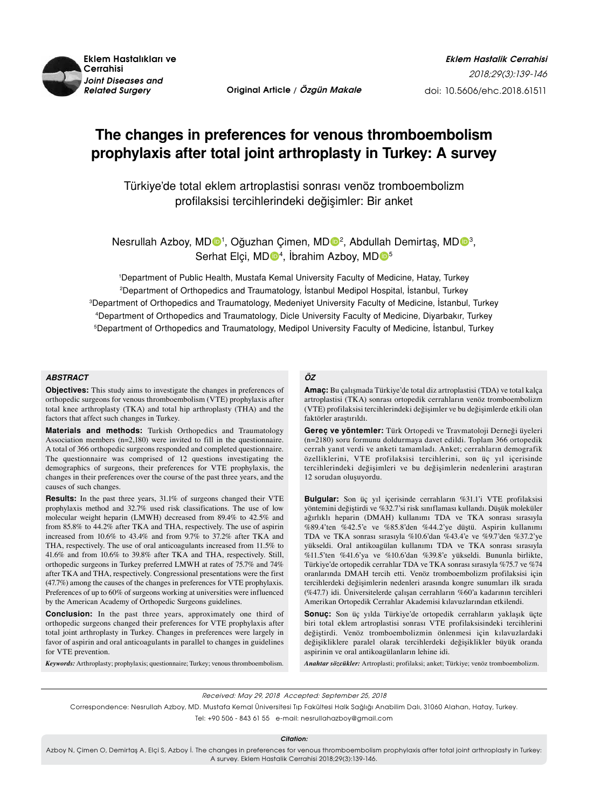

# **The changes in preferences for venous thromboembolism prophylaxis after total joint arthroplasty in Turkey: A survey**

Türkiye'de total eklem artroplastisi sonrası venöz tromboembolizm profilaksisi tercihlerindeki değişimler: Bir anket

Nesrullah Azboy, MDO<sup>1</sup>, Oğuzhan Çimen, MDO<sup>2</sup>, Abdullah Demirtaş, MDO<sup>3</sup>, Serhat Elçi, MDO<sup>4</sup>, İbrahim Azboy, MDO<sup>5</sup>

 Department of Public Health, Mustafa Kemal University Faculty of Medicine, Hatay, Turkey Department of Orthopedics and Traumatology, İstanbul Medipol Hospital, İstanbul, Turkey Department of Orthopedics and Traumatology, Medeniyet University Faculty of Medicine, İstanbul, Turkey Department of Orthopedics and Traumatology, Dicle University Faculty of Medicine, Diyarbakır, Turkey Department of Orthopedics and Traumatology, Medipol University Faculty of Medicine, İstanbul, Turkey

#### *ABSTRACT*

**Objectives:** This study aims to investigate the changes in preferences of orthopedic surgeons for venous thromboembolism (VTE) prophylaxis after total knee arthroplasty (TKA) and total hip arthroplasty (THA) and the factors that affect such changes in Turkey.

**Materials and methods:** Turkish Orthopedics and Traumatology Association members (n=2,180) were invited to fill in the questionnaire. A total of 366 orthopedic surgeons responded and completed questionnaire. The questionnaire was comprised of 12 questions investigating the demographics of surgeons, their preferences for VTE prophylaxis, the changes in their preferences over the course of the past three years, and the causes of such changes.

**Results:** In the past three years, 31.1% of surgeons changed their VTE prophylaxis method and 32.7% used risk classifications. The use of low molecular weight heparin (LMWH) decreased from 89.4% to 42.5% and from 85.8% to 44.2% after TKA and THA, respectively. The use of aspirin increased from 10.6% to 43.4% and from 9.7% to 37.2% after TKA and THA, respectively. The use of oral anticoagulants increased from 11.5% to 41.6% and from 10.6% to 39.8% after TKA and THA, respectively. Still, orthopedic surgeons in Turkey preferred LMWH at rates of 75.7% and 74% after TKA and THA, respectively. Congressional presentations were the first (47.7%) among the causes of the changes in preferences for VTE prophylaxis. Preferences of up to 60% of surgeons working at universities were influenced by the American Academy of Orthopedic Surgeons guidelines.

**Conclusion:** In the past three years, approximately one third of orthopedic surgeons changed their preferences for VTE prophylaxis after total joint arthroplasty in Turkey. Changes in preferences were largely in favor of aspirin and oral anticoagulants in parallel to changes in guidelines for VTE prevention.

*Keywords:* Arthroplasty; prophylaxis; questionnaire; Turkey; venous thromboembolism.

## *ÖZ*

**Amaç:** Bu çalışmada Türkiye'de total diz artroplastisi (TDA) ve total kalça artroplastisi (TKA) sonrası ortopedik cerrahların venöz tromboembolizm (VTE) profilaksisi tercihlerindeki değişimler ve bu değişimlerde etkili olan faktörler araştırıldı.

**Gereç ve yöntemler:** Türk Ortopedi ve Travmatoloji Derneği üyeleri (n=2180) soru formunu doldurmaya davet edildi. Toplam 366 ortopedik cerrah yanıt verdi ve anketi tamamladı. Anket; cerrahların demografik özelliklerini, VTE profilaksisi tercihlerini, son üç yıl içerisinde tercihlerindeki değişimleri ve bu değişimlerin nedenlerini araştıran 12 sorudan oluşuyordu.

**Bulgular:** Son üç yıl içerisinde cerrahların %31.1'i VTE profilaksisi yöntemini değiştirdi ve %32.7'si risk sınıflaması kullandı. Düşük moleküler ağırlıklı heparin (DMAH) kullanımı TDA ve TKA sonrası sırasıyla %89.4'ten %42.5'e ve %85.8'den %44.2'ye düştü. Aspirin kullanımı TDA ve TKA sonrası sırasıyla %10.6'dan %43.4'e ve %9.7'den %37.2'ye yükseldi. Oral antikoagülan kullanımı TDA ve TKA sonrası sırasıyla %11.5'ten %41.6'ya ve %10.6'dan %39.8'e yükseldi. Bununla birlikte, Türkiye'de ortopedik cerrahlar TDA ve TKA sonrası sırasıyla %75.7 ve %74 oranlarında DMAH tercih etti. Venöz tromboembolizm profilaksisi için tercihlerdeki değişimlerin nedenleri arasında kongre sunumları ilk sırada (%47.7) idi. Üniversitelerde çalışan cerrahların %60'a kadarının tercihleri Amerikan Ortopedik Cerrahlar Akademisi kılavuzlarından etkilendi.

**Sonuç:** Son üç yılda Türkiye'de ortopedik cerrahların yaklaşık üçte biri total eklem artroplastisi sonrası VTE profilaksisindeki tercihlerini değiştirdi. Venöz tromboembolizmin önlenmesi için kılavuzlardaki değişikliklere paralel olarak tercihlerdeki değişiklikler büyük oranda aspirinin ve oral antikoagülanların lehine idi.

*Anahtar sözcükler:* Artroplasti; profilaksi; anket; Türkiye; venöz tromboembolizm.

Received: May 29, 2018 Accepted: September 25, 2018

Correspondence: Nesrullah Azboy, MD. Mustafa Kemal Üniversitesi Tıp Fakültesi Halk Sağlığı Anabilim Dalı, 31060 Alahan, Hatay, Turkey.

Tel: +90 506 - 843 61 55 e-mail: nesrullahazboy@gmail.com

*Citation:*

Azboy N, Çimen O, Demirtaş A, Elçi S, Azboy İ. The changes in preferences for venous thromboembolism prophylaxis after total joint arthroplasty in Turkey: A survey. Eklem Hastalik Cerrahisi 2018;29(3):139-146.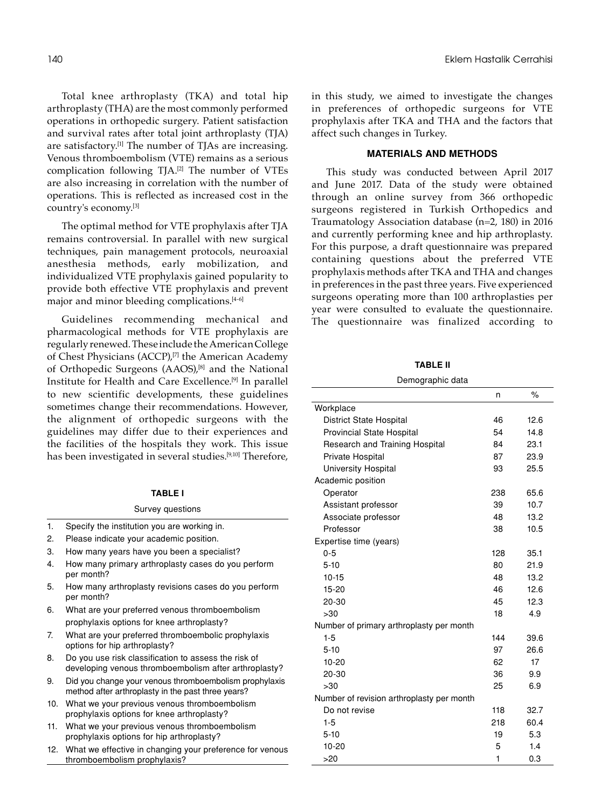Total knee arthroplasty (TKA) and total hip arthroplasty (THA) are the most commonly performed operations in orthopedic surgery. Patient satisfaction and survival rates after total joint arthroplasty (TJA) are satisfactory.<sup>[1]</sup> The number of TJAs are increasing. Venous thromboembolism (VTE) remains as a serious complication following TJA.[2] The number of VTEs are also increasing in correlation with the number of operations. This is reflected as increased cost in the country's economy.[3]

The optimal method for VTE prophylaxis after TJA remains controversial. In parallel with new surgical techniques, pain management protocols, neuroaxial anesthesia methods, early mobilization, and individualized VTE prophylaxis gained popularity to provide both effective VTE prophylaxis and prevent major and minor bleeding complications.<sup>[4-6]</sup>

Guidelines recommending mechanical and pharmacological methods for VTE prophylaxis are regularly renewed. These include the American College of Chest Physicians (ACCP),<sup>[7]</sup> the American Academy of Orthopedic Surgeons (AAOS),<sup>[8]</sup> and the National Institute for Health and Care Excellence.[9] In parallel to new scientific developments, these guidelines sometimes change their recommendations. However, the alignment of orthopedic surgeons with the guidelines may differ due to their experiences and the facilities of the hospitals they work. This issue has been investigated in several studies.<sup>[9,10]</sup> Therefore,

#### **Table I**

#### Survey questions

- 1. Specify the institution you are working in.
- 2. Please indicate your academic position.
- 3. How many years have you been a specialist?
- 4. How many primary arthroplasty cases do you perform per month?
- 5. How many arthroplasty revisions cases do you perform per month?
- 6. What are your preferred venous thromboembolism prophylaxis options for knee arthroplasty?
- 7. What are your preferred thromboembolic prophylaxis options for hip arthroplasty?
- 8. Do you use risk classification to assess the risk of developing venous thromboembolism after arthroplasty?
- 9. Did you change your venous thromboembolism prophylaxis method after arthroplasty in the past three years?
- 10. What we your previous venous thromboembolism prophylaxis options for knee arthroplasty?
- 11. What we your previous venous thromboembolism prophylaxis options for hip arthroplasty?
- 12. What we effective in changing your preference for venous thromboembolism prophylaxis?

in this study, we aimed to investigate the changes in preferences of orthopedic surgeons for VTE prophylaxis after TKA and THA and the factors that affect such changes in Turkey.

## **MATERIALS AND METHODS**

This study was conducted between April 2017 and June 2017. Data of the study were obtained through an online survey from 366 orthopedic surgeons registered in Turkish Orthopedics and Traumatology Association database (n=2, 180) in 2016 and currently performing knee and hip arthroplasty. For this purpose, a draft questionnaire was prepared containing questions about the preferred VTE prophylaxis methods after TKA and THA and changes in preferences in the past three years. Five experienced surgeons operating more than 100 arthroplasties per year were consulted to evaluate the questionnaire. The questionnaire was finalized according to

**Table II**

| Demographic data |  |
|------------------|--|
|                  |  |

|                                           | n   | $\%$ |
|-------------------------------------------|-----|------|
| Workplace                                 |     |      |
| <b>District State Hospital</b>            | 46  | 12.6 |
| Provincial State Hospital                 | 54  | 14.8 |
| Research and Training Hospital            | 84  | 23.1 |
| Private Hospital                          | 87  | 23.9 |
| <b>University Hospital</b>                | 93  | 25.5 |
| Academic position                         |     |      |
| Operator                                  | 238 | 65.6 |
| Assistant professor                       | 39  | 10.7 |
| Associate professor                       | 48  | 13.2 |
| Professor                                 | 38  | 10.5 |
| Expertise time (years)                    |     |      |
| $0 - 5$                                   | 128 | 35.1 |
| $5-10$                                    | 80  | 21.9 |
| $10 - 15$                                 | 48  | 13.2 |
| $15 - 20$                                 | 46  | 12.6 |
| 20-30                                     | 45  | 12.3 |
| >30                                       | 18  | 4.9  |
| Number of primary arthroplasty per month  |     |      |
| $1 - 5$                                   | 144 | 39.6 |
| $5-10$                                    | 97  | 26.6 |
| $10 - 20$                                 | 62  | 17   |
| 20-30                                     | 36  | 9.9  |
| >30                                       | 25  | 6.9  |
| Number of revision arthroplasty per month |     |      |
| Do not revise                             | 118 | 32.7 |
| $1 - 5$                                   | 218 | 60.4 |
| $5-10$                                    | 19  | 5.3  |
| $10 - 20$                                 | 5   | 1.4  |
| >20                                       | 1   | 0.3  |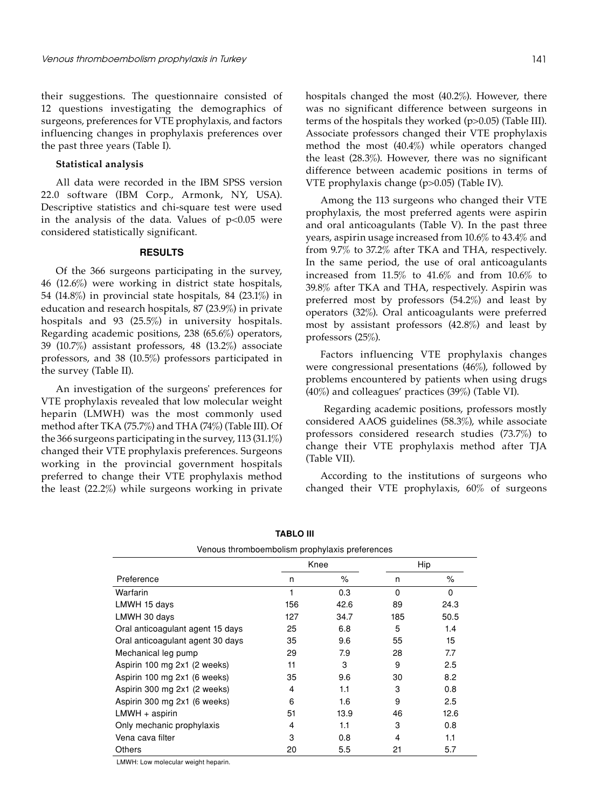their suggestions. The questionnaire consisted of 12 questions investigating the demographics of surgeons, preferences for VTE prophylaxis, and factors influencing changes in prophylaxis preferences over the past three years (Table I).

## **Statistical analysis**

All data were recorded in the IBM SPSS version 22.0 software (IBM Corp., Armonk, NY, USA). Descriptive statistics and chi-square test were used in the analysis of the data. Values of  $p<0.05$  were considered statistically significant.

## **RESULTS**

Of the 366 surgeons participating in the survey, 46 (12.6%) were working in district state hospitals, 54 (14.8%) in provincial state hospitals, 84 (23.1%) in education and research hospitals, 87 (23.9%) in private hospitals and 93 (25.5%) in university hospitals. Regarding academic positions, 238 (65.6%) operators, 39 (10.7%) assistant professors, 48 (13.2%) associate professors, and 38 (10.5%) professors participated in the survey (Table II).

An investigation of the surgeons' preferences for VTE prophylaxis revealed that low molecular weight heparin (LMWH) was the most commonly used method after TKA (75.7%) and THA (74%) (Table III). Of the 366 surgeons participating in the survey, 113 (31.1%) changed their VTE prophylaxis preferences. Surgeons working in the provincial government hospitals preferred to change their VTE prophylaxis method the least (22.2%) while surgeons working in private hospitals changed the most (40.2%). However, there was no significant difference between surgeons in terms of the hospitals they worked (p>0.05) (Table III). Associate professors changed their VTE prophylaxis method the most (40.4%) while operators changed the least (28.3%). However, there was no significant difference between academic positions in terms of VTE prophylaxis change (p>0.05) (Table IV).

Among the 113 surgeons who changed their VTE prophylaxis, the most preferred agents were aspirin and oral anticoagulants (Table V). In the past three years, aspirin usage increased from 10.6% to 43.4% and from 9.7% to 37.2% after TKA and THA, respectively. In the same period, the use of oral anticoagulants increased from 11.5% to 41.6% and from 10.6% to 39.8% after TKA and THA, respectively. Aspirin was preferred most by professors (54.2%) and least by operators (32%). Oral anticoagulants were preferred most by assistant professors (42.8%) and least by professors (25%).

Factors influencing VTE prophylaxis changes were congressional presentations (46%), followed by problems encountered by patients when using drugs (40%) and colleagues' practices (39%) (Table VI).

 Regarding academic positions, professors mostly considered AAOS guidelines (58.3%), while associate professors considered research studies (73.7%) to change their VTE prophylaxis method after TJA (Table VII).

According to the institutions of surgeons who changed their VTE prophylaxis, 60% of surgeons

| Venous thromboembolism prophylaxis preferences |     |      |          |          |  |  |  |  |  |  |
|------------------------------------------------|-----|------|----------|----------|--|--|--|--|--|--|
|                                                |     | Knee |          | Hip      |  |  |  |  |  |  |
| Preference                                     | n   | ℅    | n        | ℅        |  |  |  |  |  |  |
| Warfarin                                       | 1   | 0.3  | $\Omega$ | $\Omega$ |  |  |  |  |  |  |
| LMWH 15 days                                   | 156 | 42.6 | 89       | 24.3     |  |  |  |  |  |  |
| LMWH 30 days                                   | 127 | 34.7 | 185      | 50.5     |  |  |  |  |  |  |
| Oral anticoagulant agent 15 days               | 25  | 6.8  | 5        | 1.4      |  |  |  |  |  |  |
| Oral anticoagulant agent 30 days               | 35  | 9.6  | 55       | 15       |  |  |  |  |  |  |
| Mechanical leg pump                            | 29  | 7.9  | 28       | 7.7      |  |  |  |  |  |  |
| Aspirin 100 mg 2x1 (2 weeks)                   | 11  | 3    | 9        | 2.5      |  |  |  |  |  |  |
| Aspirin 100 mg 2x1 (6 weeks)                   | 35  | 9.6  | 30       | 8.2      |  |  |  |  |  |  |
| Aspirin 300 mg 2x1 (2 weeks)                   | 4   | 1.1  | 3        | 0.8      |  |  |  |  |  |  |
| Aspirin 300 mg 2x1 (6 weeks)                   | 6   | 1.6  | 9        | 2.5      |  |  |  |  |  |  |
| $LMWH + aspirin$                               | 51  | 13.9 | 46       | 12.6     |  |  |  |  |  |  |
| Only mechanic prophylaxis                      | 4   | 1.1  | 3        | 0.8      |  |  |  |  |  |  |
| Vena cava filter                               | 3   | 0.8  | 4        | 1.1      |  |  |  |  |  |  |
| Others                                         | 20  | 5.5  | 21       | 5.7      |  |  |  |  |  |  |

**Tablo III**

LMWH: Low molecular weight heparin.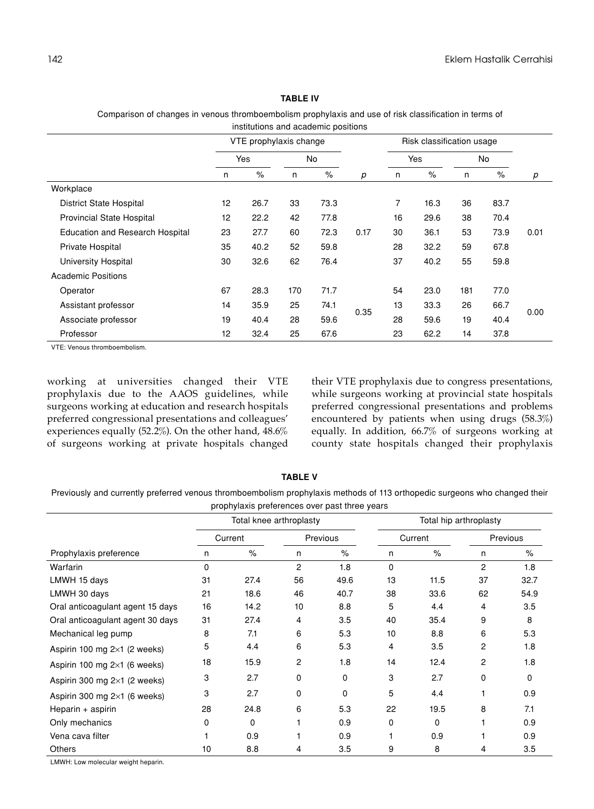## **Table IV**

Comparison of changes in venous thromboembolism prophylaxis and use of risk classification in terms of institutions and academic positions

|                                        | VTE prophylaxis change |      |     |      |      | Risk classification usage |      |     |      |      |
|----------------------------------------|------------------------|------|-----|------|------|---------------------------|------|-----|------|------|
|                                        | Yes                    |      | No  |      |      | Yes                       |      | No  |      |      |
|                                        | n                      | $\%$ | n   | $\%$ | р    | n                         | $\%$ | n   | $\%$ | p    |
| Workplace                              |                        |      |     |      |      |                           |      |     |      |      |
| <b>District State Hospital</b>         | 12                     | 26.7 | 33  | 73.3 |      | 7                         | 16.3 | 36  | 83.7 |      |
| <b>Provincial State Hospital</b>       | 12                     | 22.2 | 42  | 77.8 |      | 16                        | 29.6 | 38  | 70.4 |      |
| <b>Education and Research Hospital</b> | 23                     | 27.7 | 60  | 72.3 | 0.17 | 30                        | 36.1 | 53  | 73.9 | 0.01 |
| Private Hospital                       | 35                     | 40.2 | 52  | 59.8 |      | 28                        | 32.2 | 59  | 67.8 |      |
| University Hospital                    | 30                     | 32.6 | 62  | 76.4 |      | 37                        | 40.2 | 55  | 59.8 |      |
| <b>Academic Positions</b>              |                        |      |     |      |      |                           |      |     |      |      |
| Operator                               | 67                     | 28.3 | 170 | 71.7 |      | 54                        | 23.0 | 181 | 77.0 |      |
| Assistant professor                    | 14                     | 35.9 | 25  | 74.1 |      | 13                        | 33.3 | 26  | 66.7 |      |
| Associate professor                    | 19                     | 40.4 | 28  | 59.6 | 0.35 | 28                        | 59.6 | 19  | 40.4 | 0.00 |
| Professor                              | 12                     | 32.4 | 25  | 67.6 |      | 23                        | 62.2 | 14  | 37.8 |      |

VTE: Venous thromboembolism.

working at universities changed their VTE prophylaxis due to the AAOS guidelines, while surgeons working at education and research hospitals preferred congressional presentations and colleagues' experiences equally (52.2%). On the other hand, 48.6% of surgeons working at private hospitals changed their VTE prophylaxis due to congress presentations, while surgeons working at provincial state hospitals preferred congressional presentations and problems encountered by patients when using drugs (58.3%) equally. In addition, 66.7% of surgeons working at county state hospitals changed their prophylaxis

**Table V**

Previously and currently preferred venous thromboembolism prophylaxis methods of 113 orthopedic surgeons who changed their prophylaxis preferences over past three years

|                                     |          | Total knee arthroplasty |                |      | Total hip arthroplasty |      |          |      |  |
|-------------------------------------|----------|-------------------------|----------------|------|------------------------|------|----------|------|--|
|                                     | Current  |                         | Previous       |      | Current                |      | Previous |      |  |
| Prophylaxis preference              | n        | $\%$                    | n              | $\%$ | n                      | $\%$ | n        | $\%$ |  |
| Warfarin                            | $\Omega$ |                         | $\overline{c}$ | 1.8  | $\Omega$               |      | 2        | 1.8  |  |
| LMWH 15 days                        | 31       | 27.4                    | 56             | 49.6 | 13                     | 11.5 | 37       | 32.7 |  |
| LMWH 30 days                        | 21       | 18.6                    | 46             | 40.7 | 38                     | 33.6 | 62       | 54.9 |  |
| Oral anticoagulant agent 15 days    | 16       | 14.2                    | 10             | 8.8  | 5                      | 4.4  | 4        | 3.5  |  |
| Oral anticoagulant agent 30 days    | 31       | 27.4                    | 4              | 3.5  | 40                     | 35.4 | 9        | 8    |  |
| Mechanical leg pump                 | 8        | 7.1                     | 6              | 5.3  | 10                     | 8.8  | 6        | 5.3  |  |
| Aspirin 100 mg $2\times1$ (2 weeks) | 5        | 4.4                     | 6              | 5.3  | 4                      | 3.5  | 2        | 1.8  |  |
| Aspirin 100 mg $2\times1$ (6 weeks) | 18       | 15.9                    | 2              | 1.8  | 14                     | 12.4 | 2        | 1.8  |  |
| Aspirin 300 mg $2\times1$ (2 weeks) | 3        | 2.7                     | 0              | 0    | 3                      | 2.7  | 0        | 0    |  |
| Aspirin 300 mg $2\times1$ (6 weeks) | 3        | 2.7                     | 0              | 0    | 5                      | 4.4  |          | 0.9  |  |
| Heparin $+$ aspirin                 | 28       | 24.8                    | 6              | 5.3  | 22                     | 19.5 | 8        | 7.1  |  |
| Only mechanics                      | 0        | 0                       |                | 0.9  | 0                      | 0    |          | 0.9  |  |
| Vena cava filter                    |          | 0.9                     |                | 0.9  |                        | 0.9  |          | 0.9  |  |
| <b>Others</b>                       | 10       | 8.8                     | 4              | 3.5  | 9                      | 8    | 4        | 3.5  |  |

LMWH: Low molecular weight heparin.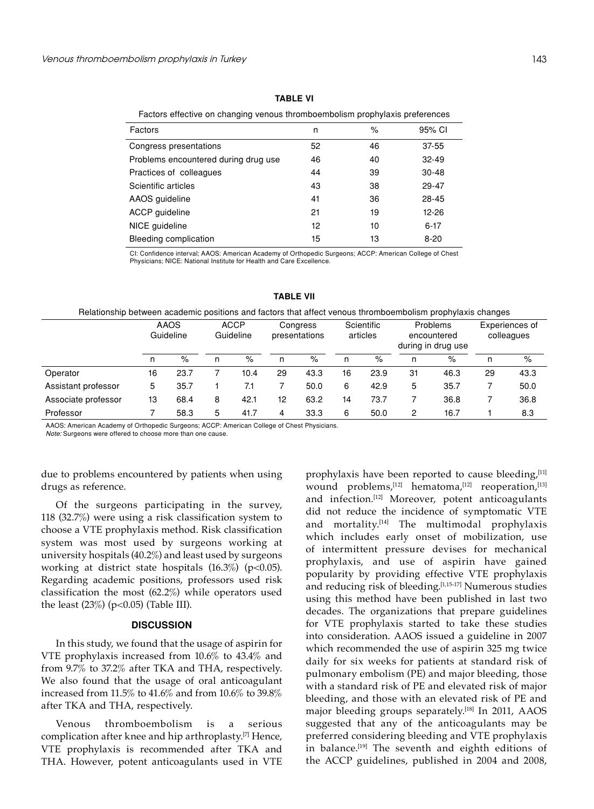## **Table VI**

Factors effective on changing venous thromboembolism prophylaxis preferences

| Factors                              | n  | %  | 95% CI    |
|--------------------------------------|----|----|-----------|
| Congress presentations               | 52 | 46 | $37 - 55$ |
| Problems encountered during drug use | 46 | 40 | $32 - 49$ |
| Practices of colleagues              | 44 | 39 | $30 - 48$ |
| Scientific articles                  | 43 | 38 | 29-47     |
| AAOS guideline                       | 41 | 36 | 28-45     |
| ACCP guideline                       | 21 | 19 | 12-26     |
| NICE guideline                       | 12 | 10 | $6-17$    |
| Bleeding complication                | 15 | 13 | $8 - 20$  |

CI: Confidence interval; AAOS: American Academy of Orthopedic Surgeons; ACCP: American College of Chest Physicians; NICE: National Institute for Health and Care Excellence.

| ו וטומנוטהאוווט טכנאכטה מטמטטוזוט טטאנוטהא מהט ומטנטוא נהמנ מהטכנ דטווטטא נהוטוווטטטוווטואווו טוטטוודאנאוא טהמ |    |                   |                          |      |                           |      |                        |      |                                               |      |                              |      |
|----------------------------------------------------------------------------------------------------------------|----|-------------------|--------------------------|------|---------------------------|------|------------------------|------|-----------------------------------------------|------|------------------------------|------|
|                                                                                                                |    | AAOS<br>Guideline | <b>ACCP</b><br>Guideline |      | Congress<br>presentations |      | Scientific<br>articles |      | Problems<br>encountered<br>during in drug use |      | Experiences of<br>colleagues |      |
|                                                                                                                | n  | $\%$              | n                        | %    | n                         | $\%$ | n                      | %    | n                                             | $\%$ | n                            | $\%$ |
| Operator                                                                                                       | 16 | 23.7              |                          | 10.4 | 29                        | 43.3 | 16                     | 23.9 | 31                                            | 46.3 | 29                           | 43.3 |
| Assistant professor                                                                                            | 5  | 35.7              |                          | 7.1  |                           | 50.0 | 6                      | 42.9 | 5                                             | 35.7 |                              | 50.0 |
| Associate professor                                                                                            | 13 | 68.4              | 8                        | 42.1 | 12                        | 63.2 | 14                     | 73.7 |                                               | 36.8 |                              | 36.8 |
| Professor                                                                                                      |    | 58.3              | 5                        | 41.7 | 4                         | 33.3 | 6                      | 50.0 | 2                                             | 16.7 |                              | 8.3  |

## **Table VII**

#### Relationship between academic positions and factors that affect venous thromboembolism prophylaxis changes

AAOS: American Academy of Orthopedic Surgeons; ACCP: American College of Chest Physicians.

*Note:* Surgeons were offered to choose more than one cause.

due to problems encountered by patients when using drugs as reference.

Of the surgeons participating in the survey, 118 (32.7%) were using a risk classification system to choose a VTE prophylaxis method. Risk classification system was most used by surgeons working at university hospitals (40.2%) and least used by surgeons working at district state hospitals  $(16.3\%)$  (p<0.05). Regarding academic positions, professors used risk classification the most (62.2%) while operators used the least  $(23\%)$  (p<0.05) (Table III).

#### **DISCUSSION**

In this study, we found that the usage of aspirin for VTE prophylaxis increased from 10.6% to 43.4% and from 9.7% to 37.2% after TKA and THA, respectively. We also found that the usage of oral anticoagulant increased from 11.5% to 41.6% and from 10.6% to 39.8% after TKA and THA, respectively.

Venous thromboembolism is a serious complication after knee and hip arthroplasty.[7] Hence, VTE prophylaxis is recommended after TKA and THA. However, potent anticoagulants used in VTE prophylaxis have been reported to cause bleeding,<sup>[11]</sup> wound problems, $^{[12]}$  hematoma, $^{[12]}$  reoperation, $^{[13]}$ and infection.<sup>[12]</sup> Moreover, potent anticoagulants did not reduce the incidence of symptomatic VTE and mortality.<sup>[14]</sup> The multimodal prophylaxis which includes early onset of mobilization, use of intermittent pressure devises for mechanical prophylaxis, and use of aspirin have gained popularity by providing effective VTE prophylaxis and reducing risk of bleeding.<sup>[1,15-17]</sup> Numerous studies using this method have been published in last two decades. The organizations that prepare guidelines for VTE prophylaxis started to take these studies into consideration. AAOS issued a guideline in 2007 which recommended the use of aspirin 325 mg twice daily for six weeks for patients at standard risk of pulmonary embolism (PE) and major bleeding, those with a standard risk of PE and elevated risk of major bleeding, and those with an elevated risk of PE and major bleeding groups separately.<sup>[18]</sup> In 2011, AAOS suggested that any of the anticoagulants may be preferred considering bleeding and VTE prophylaxis in balance.<sup>[19]</sup> The seventh and eighth editions of the ACCP guidelines, published in 2004 and 2008,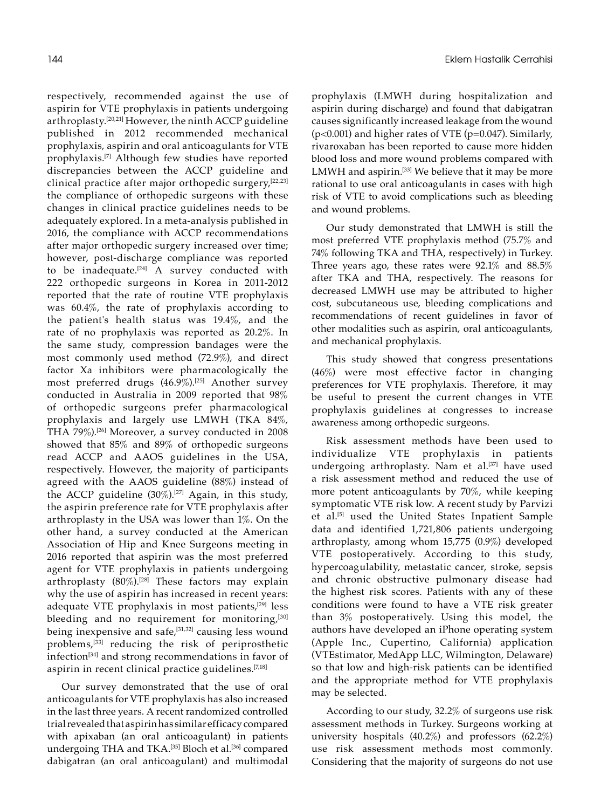respectively, recommended against the use of aspirin for VTE prophylaxis in patients undergoing arthroplasty.[20,21] However, the ninth ACCP guideline published in 2012 recommended mechanical prophylaxis, aspirin and oral anticoagulants for VTE prophylaxis.[7] Although few studies have reported discrepancies between the ACCP guideline and clinical practice after major orthopedic surgery,[22,23] the compliance of orthopedic surgeons with these changes in clinical practice guidelines needs to be adequately explored. In a meta-analysis published in 2016, the compliance with ACCP recommendations after major orthopedic surgery increased over time; however, post-discharge compliance was reported to be inadequate.<sup>[24]</sup> A survey conducted with 222 orthopedic surgeons in Korea in 2011-2012 reported that the rate of routine VTE prophylaxis was 60.4%, the rate of prophylaxis according to the patient's health status was 19.4%, and the rate of no prophylaxis was reported as 20.2%. In the same study, compression bandages were the most commonly used method (72.9%), and direct factor Xa inhibitors were pharmacologically the most preferred drugs  $(46.9\%)$ .<sup>[25]</sup> Another survey conducted in Australia in 2009 reported that 98% of orthopedic surgeons prefer pharmacological prophylaxis and largely use LMWH (TKA 84%, THA 79%).[26] Moreover, a survey conducted in 2008 showed that 85% and 89% of orthopedic surgeons read ACCP and AAOS guidelines in the USA, respectively. However, the majority of participants agreed with the AAOS guideline (88%) instead of the ACCP guideline (30%).<sup>[27]</sup> Again, in this study, the aspirin preference rate for VTE prophylaxis after arthroplasty in the USA was lower than 1%. On the other hand, a survey conducted at the American Association of Hip and Knee Surgeons meeting in 2016 reported that aspirin was the most preferred agent for VTE prophylaxis in patients undergoing arthroplasty  $(80\%)$ .<sup>[28]</sup> These factors may explain why the use of aspirin has increased in recent years: adequate VTE prophylaxis in most patients,[29] less bleeding and no requirement for monitoring,<sup>[30]</sup> being inexpensive and safe,<sup>[31,32]</sup> causing less wound problems,[33] reducing the risk of periprosthetic infection[34] and strong recommendations in favor of aspirin in recent clinical practice guidelines.<sup>[7,18]</sup>

Our survey demonstrated that the use of oral anticoagulants for VTE prophylaxis has also increased in the last three years. A recent randomized controlled trial revealed that aspirin has similar efficacy compared with apixaban (an oral anticoagulant) in patients undergoing THA and TKA.<sup>[35]</sup> Bloch et al.<sup>[36]</sup> compared dabigatran (an oral anticoagulant) and multimodal prophylaxis (LMWH during hospitalization and aspirin during discharge) and found that dabigatran causes significantly increased leakage from the wound  $(p<0.001)$  and higher rates of VTE  $(p=0.047)$ . Similarly, rivaroxaban has been reported to cause more hidden blood loss and more wound problems compared with LMWH and aspirin.<sup>[33]</sup> We believe that it may be more rational to use oral anticoagulants in cases with high risk of VTE to avoid complications such as bleeding and wound problems.

Our study demonstrated that LMWH is still the most preferred VTE prophylaxis method (75.7% and 74% following TKA and THA, respectively) in Turkey. Three years ago, these rates were 92.1% and 88.5% after TKA and THA, respectively. The reasons for decreased LMWH use may be attributed to higher cost, subcutaneous use, bleeding complications and recommendations of recent guidelines in favor of other modalities such as aspirin, oral anticoagulants, and mechanical prophylaxis.

This study showed that congress presentations (46%) were most effective factor in changing preferences for VTE prophylaxis. Therefore, it may be useful to present the current changes in VTE prophylaxis guidelines at congresses to increase awareness among orthopedic surgeons.

Risk assessment methods have been used to individualize VTE prophylaxis in patients undergoing arthroplasty. Nam et al.[37] have used a risk assessment method and reduced the use of more potent anticoagulants by 70%, while keeping symptomatic VTE risk low. A recent study by Parvizi et al.[5] used the United States Inpatient Sample data and identified 1,721,806 patients undergoing arthroplasty, among whom 15,775 (0.9%) developed VTE postoperatively. According to this study, hypercoagulability, metastatic cancer, stroke, sepsis and chronic obstructive pulmonary disease had the highest risk scores. Patients with any of these conditions were found to have a VTE risk greater than 3% postoperatively. Using this model, the authors have developed an iPhone operating system (Apple Inc., Cupertino, California) application (VTEstimator, MedApp LLC, Wilmington, Delaware) so that low and high-risk patients can be identified and the appropriate method for VTE prophylaxis may be selected.

According to our study, 32.2% of surgeons use risk assessment methods in Turkey. Surgeons working at university hospitals (40.2%) and professors (62.2%) use risk assessment methods most commonly. Considering that the majority of surgeons do not use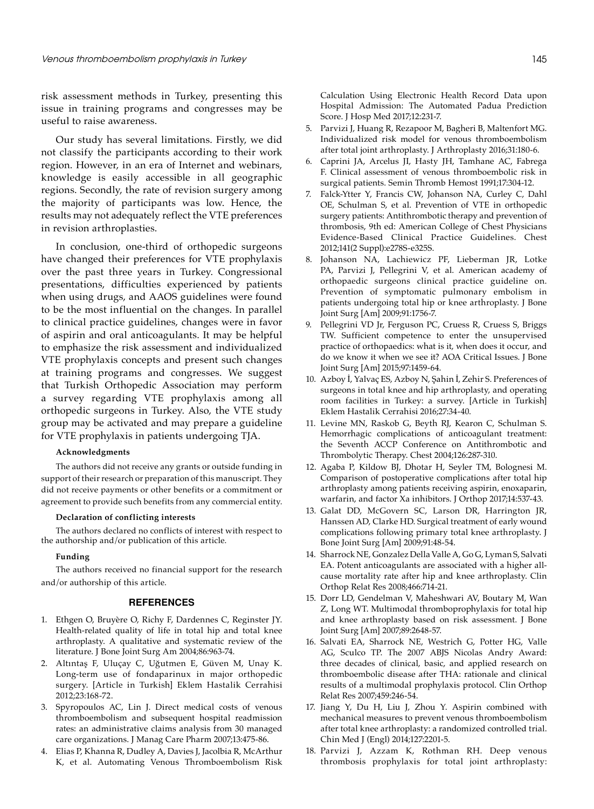risk assessment methods in Turkey, presenting this issue in training programs and congresses may be useful to raise awareness.

Our study has several limitations. Firstly, we did not classify the participants according to their work region. However, in an era of Internet and webinars, knowledge is easily accessible in all geographic regions. Secondly, the rate of revision surgery among the majority of participants was low. Hence, the results may not adequately reflect the VTE preferences in revision arthroplasties.

In conclusion, one-third of orthopedic surgeons have changed their preferences for VTE prophylaxis over the past three years in Turkey. Congressional presentations, difficulties experienced by patients when using drugs, and AAOS guidelines were found to be the most influential on the changes. In parallel to clinical practice guidelines, changes were in favor of aspirin and oral anticoagulants. It may be helpful to emphasize the risk assessment and individualized VTE prophylaxis concepts and present such changes at training programs and congresses. We suggest that Turkish Orthopedic Association may perform a survey regarding VTE prophylaxis among all orthopedic surgeons in Turkey. Also, the VTE study group may be activated and may prepare a guideline for VTE prophylaxis in patients undergoing TJA.

## **Acknowledgments**

The authors did not receive any grants or outside funding in support of their research or preparation of this manuscript. They did not receive payments or other benefits or a commitment or agreement to provide such benefits from any commercial entity.

#### **Declaration of conflicting interests**

The authors declared no conflicts of interest with respect to the authorship and/or publication of this article.

## **Funding**

The authors received no financial support for the research and/or authorship of this article.

#### **REFERENCES**

- 1. Ethgen O, Bruyère O, Richy F, Dardennes C, Reginster JY. Health-related quality of life in total hip and total knee arthroplasty. A qualitative and systematic review of the literature. J Bone Joint Surg Am 2004;86:963-74.
- 2. Altıntaş F, Uluçay C, Uğutmen E, Güven M, Unay K. Long-term use of fondaparinux in major orthopedic surgery. [Article in Turkish] Eklem Hastalik Cerrahisi 2012;23:168-72.
- 3. Spyropoulos AC, Lin J. Direct medical costs of venous thromboembolism and subsequent hospital readmission rates: an administrative claims analysis from 30 managed care organizations. J Manag Care Pharm 2007;13:475-86.
- 4. Elias P, Khanna R, Dudley A, Davies J, Jacolbia R, McArthur K, et al. Automating Venous Thromboembolism Risk

Calculation Using Electronic Health Record Data upon Hospital Admission: The Automated Padua Prediction Score. J Hosp Med 2017;12:231-7.

- 5. Parvizi J, Huang R, Rezapoor M, Bagheri B, Maltenfort MG. Individualized risk model for venous thromboembolism after total joint arthroplasty. J Arthroplasty 2016;31:180-6.
- 6. Caprini JA, Arcelus JI, Hasty JH, Tamhane AC, Fabrega F. Clinical assessment of venous thromboembolic risk in surgical patients. Semin Thromb Hemost 1991;17:304-12.
- 7. Falck-Ytter Y, Francis CW, Johanson NA, Curley C, Dahl OE, Schulman S, et al. Prevention of VTE in orthopedic surgery patients: Antithrombotic therapy and prevention of thrombosis, 9th ed: American College of Chest Physicians Evidence-Based Clinical Practice Guidelines. Chest 2012;141(2 Suppl):e278S-e325S.
- 8. Johanson NA, Lachiewicz PF, Lieberman JR, Lotke PA, Parvizi J, Pellegrini V, et al. American academy of orthopaedic surgeons clinical practice guideline on. Prevention of symptomatic pulmonary embolism in patients undergoing total hip or knee arthroplasty. J Bone Joint Surg [Am] 2009;91:1756-7.
- 9. Pellegrini VD Jr, Ferguson PC, Cruess R, Cruess S, Briggs TW. Sufficient competence to enter the unsupervised practice of orthopaedics: what is it, when does it occur, and do we know it when we see it? AOA Critical Issues. J Bone Joint Surg [Am] 2015;97:1459-64.
- 10. Azboy İ, Yalvaç ES, Azboy N, Şahin İ, Zehir S. Preferences of surgeons in total knee and hip arthroplasty, and operating room facilities in Turkey: a survey. [Article in Turkish] Eklem Hastalik Cerrahisi 2016;27:34-40.
- 11. Levine MN, Raskob G, Beyth RJ, Kearon C, Schulman S. Hemorrhagic complications of anticoagulant treatment: the Seventh ACCP Conference on Antithrombotic and Thrombolytic Therapy. Chest 2004;126:287-310.
- 12. Agaba P, Kildow BJ, Dhotar H, Seyler TM, Bolognesi M. Comparison of postoperative complications after total hip arthroplasty among patients receiving aspirin, enoxaparin, warfarin, and factor Xa inhibitors. J Orthop 2017;14:537-43.
- 13. Galat DD, McGovern SC, Larson DR, Harrington JR, Hanssen AD, Clarke HD. Surgical treatment of early wound complications following primary total knee arthroplasty. J Bone Joint Surg [Am] 2009;91:48-54.
- 14. Sharrock NE, Gonzalez Della Valle A, Go G, Lyman S, Salvati EA. Potent anticoagulants are associated with a higher allcause mortality rate after hip and knee arthroplasty. Clin Orthop Relat Res 2008;466:714-21.
- 15. Dorr LD, Gendelman V, Maheshwari AV, Boutary M, Wan Z, Long WT. Multimodal thromboprophylaxis for total hip and knee arthroplasty based on risk assessment. J Bone Joint Surg [Am] 2007;89:2648-57.
- 16. Salvati EA, Sharrock NE, Westrich G, Potter HG, Valle AG, Sculco TP. The 2007 ABJS Nicolas Andry Award: three decades of clinical, basic, and applied research on thromboembolic disease after THA: rationale and clinical results of a multimodal prophylaxis protocol. Clin Orthop Relat Res 2007;459:246-54.
- 17. Jiang Y, Du H, Liu J, Zhou Y. Aspirin combined with mechanical measures to prevent venous thromboembolism after total knee arthroplasty: a randomized controlled trial. Chin Med J (Engl) 2014;127:2201-5.
- 18. Parvizi J, Azzam K, Rothman RH. Deep venous thrombosis prophylaxis for total joint arthroplasty: